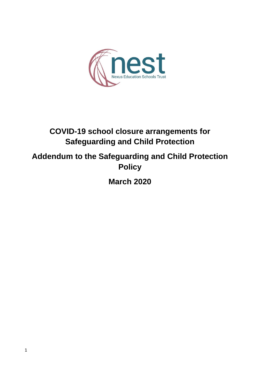

# **COVID-19 school closure arrangements for Safeguarding and Child Protection**

## **Addendum to the Safeguarding and Child Protection Policy**

**March 2020**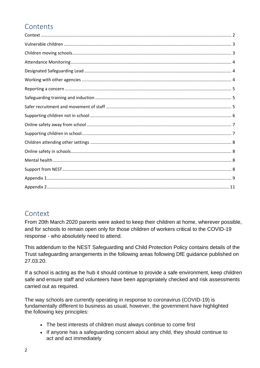## **Contents**

#### <span id="page-1-0"></span>Context

From 20th March 2020 parents were asked to keep their children at home, wherever possible, and for schools to remain open only for those children of workers critical to the COVID-19 response - who absolutely need to attend.

This addendum to the NEST Safeguarding and Child Protection Policy contains details of the Trust safeguarding arrangements in the following areas following DfE guidance published on 27.03.20.

If a school is acting as the hub it should continue to provide a safe environment, keep children safe and ensure staff and volunteers have been appropriately checked and risk assessments carried out as required.

The way schools are currently operating in response to coronavirus (COVID-19) is fundamentally different to business as usual, however, the government have highlighted the following key principles:

- The best interests of children must always continue to come first
- If anyone has a safeguarding concern about any child, they should continue to act and act immediately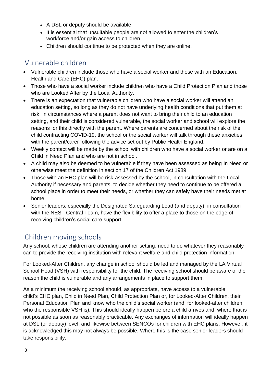- A DSL or deputy should be available
- It is essential that unsuitable people are not allowed to enter the children's workforce and/or gain access to children
- Children should continue to be protected when they are online.

### <span id="page-2-0"></span>Vulnerable children

- Vulnerable children include those who have a social worker and those with an Education, Health and Care (EHC) plan.
- Those who have a social worker include children who have a Child Protection Plan and those who are Looked After by the Local Authority.
- There is an expectation that vulnerable children who have a social worker will attend an education setting, so long as they do not have underlying health conditions that put them at risk. In circumstances where a parent does not want to bring their child to an education setting, and their child is considered vulnerable, the social worker and school will explore the reasons for this directly with the parent. Where parents are concerned about the risk of the child contracting COVID-19, the school or the social worker will talk through these anxieties with the parent/carer following the advice set out by Public Health England.
- Weekly contact will be made by the school with children who have a social worker or are on a Child in Need Plan and who are not in school.
- A child may also be deemed to be vulnerable if they have been assessed as being In Need or otherwise meet the definition in section 17 of the Children Act 1989.
- Those with an EHC plan will be risk-assessed by the school, in consultation with the Local Authority if necessary and parents, to decide whether they need to continue to be offered a school place in order to meet their needs, or whether they can safely have their needs met at home.
- Senior leaders, especially the Designated Safeguarding Lead (and deputy), in consultation with the NEST Central Team, have the flexibility to offer a place to those on the edge of receiving children's social care support.

### <span id="page-2-1"></span>Children moving schools

Any school, whose children are attending another setting, need to do whatever they reasonably can to provide the receiving institution with relevant welfare and child protection information.

For Looked-After Children, any change in school should be led and managed by the LA Virtual School Head (VSH) with responsibility for the child. The receiving school should be aware of the reason the child is vulnerable and any arrangements in place to support them.

As a minimum the receiving school should, as appropriate, have access to a vulnerable child's EHC plan, Child in Need Plan, Child Protection Plan or, for Looked-After Children, their Personal Education Plan and know who the child's social worker (and, for looked-after children, who the responsible VSH is). This should ideally happen before a child arrives and, where that is not possible as soon as reasonably practicable. Any exchanges of information will ideally happen at DSL (or deputy) level, and likewise between SENCOs for children with EHC plans. However, it is acknowledged this may not always be possible. Where this is the case senior leaders should take responsibility.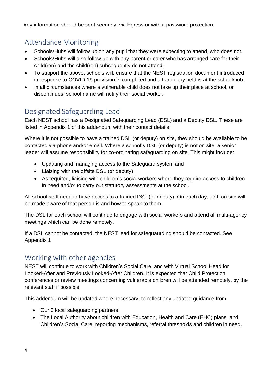Any information should be sent securely, via Egress or with a password protection.

## <span id="page-3-0"></span>Attendance Monitoring

- Schools/Hubs will follow up on any pupil that they were expecting to attend, who does not.
- Schools/Hubs will also follow up with any parent or carer who has arranged care for their child(ren) and the child(ren) subsequently do not attend.
- To support the above, schools will, ensure that the NEST registration document introduced in response to COVID-19 provision is completed and a hard copy held is at the school/hub.
- In all circumstances where a vulnerable child does not take up their place at school, or discontinues, school name will notify their social worker.

## <span id="page-3-1"></span>Designated Safeguarding Lead

Each NEST school has a Designated Safeguarding Lead (DSL) and a Deputy DSL. These are listed in Appendix 1 of this addendum with their contact details.

Where it is not possible to have a trained DSL (or deputy) on site, they should be available to be contacted via phone and/or email. Where a school's DSL (or deputy) is not on site, a senior leader will assume responsibility for co-ordinating safeguarding on site. This might include:

- Updating and managing access to the Safeguard system and
- Liaising with the offsite DSL (or deputy)
- As required, liaising with children's social workers where they require access to children in need and/or to carry out statutory assessments at the school.

All school staff need to have access to a trained DSL (or deputy). On each day, staff on site will be made aware of that person is and how to speak to them.

The DSL for each school will continue to engage with social workers and attend all multi-agency meetings which can be done remotely.

If a DSL cannot be contacted, the NEST lead for safeguaurding should be contacted. See Appendix 1

#### <span id="page-3-2"></span>Working with other agencies

NEST will continue to work with Children's Social Care, and with Virtual School Head for Looked-After and Previously Looked-After Children. It is expected that Child Protection conferences or review meetings concerning vulnerable children will be attended remotely, by the relevant staff if possible.

This addendum will be updated where necessary, to reflect any updated guidance from:

- Our 3 local safeguarding partners
- The Local Authority about children with Education, Health and Care (EHC) plans and Children's Social Care, reporting mechanisms, referral thresholds and children in need.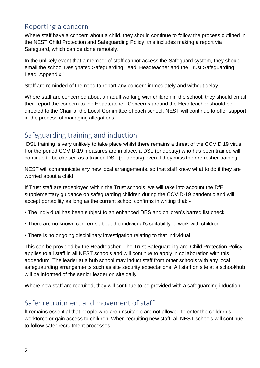#### <span id="page-4-0"></span>Reporting a concern

Where staff have a concern about a child, they should continue to follow the process outlined in the NEST Child Protection and Safeguarding Policy, this includes making a report via Safeguard, which can be done remotely.

In the unlikely event that a member of staff cannot access the Safeguard system, they should email the school Designated Safeguarding Lead, Headteacher and the Trust Safeguarding Lead. Appendix 1

Staff are reminded of the need to report any concern immediately and without delay.

Where staff are concerned about an adult working with children in the school, they should email their report the concern to the Headteacher. Concerns around the Headteacher should be directed to the Chair of the Local Committee of each school. NEST will continue to offer support in the process of managing allegations.

### <span id="page-4-1"></span>Safeguarding training and induction

DSL training is very unlikely to take place whilst there remains a threat of the COVID 19 virus. For the period COVID-19 measures are in place, a DSL (or deputy) who has been trained will continue to be classed as a trained DSL (or deputy) even if they miss their refresher training.

NEST will communicate any new local arrangements, so that staff know what to do if they are worried about a child.

If Trust staff are redeployed within the Trust schools, we will take into account the DfE supplementary guidance on safeguarding children during the COVID-19 pandemic and will accept portability as long as the current school confirms in writing that: -

- The individual has been subject to an enhanced DBS and children's barred list check
- There are no known concerns about the individual's suitability to work with children
- There is no ongoing disciplinary investigation relating to that individual

This can be provided by the Headteacher. The Trust Safeguarding and Child Protection Policy applies to all staff in all NEST schools and will continue to apply in collaboration with this addendum. The leader at a hub school may induct staff from other schools with any local safeguaurding arrangements such as site security expectations. All staff on site at a school/hub will be informed of the senior leader on site daily.

Where new staff are recruited, they will continue to be provided with a safeguarding induction.

### <span id="page-4-2"></span>Safer recruitment and movement of staff

It remains essential that people who are unsuitable are not allowed to enter the children's workforce or gain access to children. When recruiting new staff, all NEST schools will continue to follow safer recruitment processes.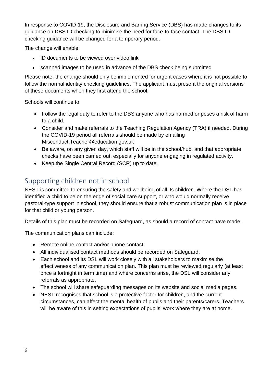In response to COVID-19, the Disclosure and Barring Service (DBS) has made changes to its guidance on DBS ID checking to minimise the need for face-to-face contact. The DBS ID checking guidance will be changed for a temporary period.

The change will enable:

- ID documents to be viewed over video link
- scanned images to be used in advance of the DBS check being submitted

Please note, the change should only be implemented for urgent cases where it is not possible to follow the normal identity checking guidelines. The applicant must present the original versions of these documents when they first attend the school.

Schools will continue to:

- Follow the legal duty to refer to the DBS anyone who has harmed or poses a risk of harm to a child.
- Consider and make referrals to the Teaching Regulation Agency (TRA) if needed. During the COVID-19 period all referrals should be made by emailing Misconduct.Teacher@education.gov.uk
- Be aware, on any given day, which staff will be in the school/hub, and that appropriate checks have been carried out, especially for anyone engaging in regulated activity.
- Keep the Single Central Record (SCR) up to date.

#### <span id="page-5-0"></span>Supporting children not in school

NEST is committed to ensuring the safety and wellbeing of all its children. Where the DSL has identified a child to be on the edge of social care support, or who would normally receive pastoral-type support in school, they should ensure that a robust communication plan is in place for that child or young person.

Details of this plan must be recorded on Safeguard, as should a record of contact have made.

The communication plans can include:

- Remote online contact and/or phone contact.
- All individualised contact methods should be recorded on Safeguard.
- Each school and its DSL will work closely with all stakeholders to maximise the effectiveness of any communication plan. This plan must be reviewed regularly (at least once a fortnight in term time) and where concerns arise, the DSL will consider any referrals as appropriate.
- The school will share safeguarding messages on its website and social media pages.
- NEST recognises that school is a protective factor for children, and the current circumstances, can affect the mental health of pupils and their parents/carers. Teachers will be aware of this in setting expectations of pupils' work where they are at home.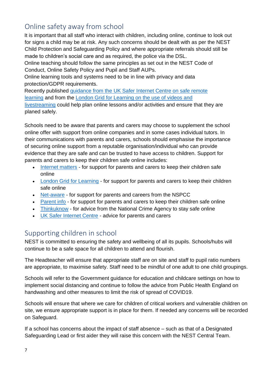### <span id="page-6-0"></span>Online safety away from school

It is important that all staff who interact with children, including online, continue to look out for signs a child may be at risk. Any such concerns should be dealt with as per the NEST Child Protection and Safeguarding Policy and where appropriate referrals should still be made to children's social care and as required, the police via the DSL.

Online teaching should follow the same principles as set out in the NEST Code of Conduct, Online Safety Policy and Pupil and Staff AUPs.

Online learning tools and systems need to be in line with privacy and data protection/GDPR requirements.

Recently published [guidance from the UK Safer Internet Centre on safe remote](https://swgfl.org.uk/resources/safe-remote-learning/)  [learning](https://swgfl.org.uk/resources/safe-remote-learning/) and from the [London Grid for Learning on the use of videos and](https://static.lgfl.net/LgflNet/downloads/digisafe/Safe-Lessons-by-Video-and-Livestream.pdf)  [livestreaming](https://static.lgfl.net/LgflNet/downloads/digisafe/Safe-Lessons-by-Video-and-Livestream.pdf) could help plan online lessons and/or activities and ensure that they are planed safely.

Schools need to be aware that parents and carers may choose to supplement the school online offer with support from online companies and in some cases individual tutors. In their communications with parents and carers, schools should emphasise the importance of securing online support from a reputable organisation/individual who can provide evidence that they are safe and can be trusted to have access to children. Support for parents and carers to keep their children safe online includes:

- [Internet matters](https://www.internetmatters.org/?gclid=EAIaIQobChMIktuA5LWK2wIVRYXVCh2afg2aEAAYASAAEgIJ5vD_BwE) for support for parents and carers to keep their children safe online
- [London Grid for Learning](http://www.lgfl.net/online-safety/) for support for parents and carers to keep their children safe online
- [Net-aware](https://www.net-aware.org.uk/) for support for parents and careers from the NSPCC
- [Parent info](https://parentinfo.org/) for support for parents and carers to keep their children safe online
- [Thinkuknow](http://www.thinkuknow.co.uk/) for advice from the National Crime Agency to stay safe online
- [UK Safer Internet Centre](https://www.saferinternet.org.uk/advice-centre/parents-and-carers) advice for parents and carers

### <span id="page-6-1"></span>Supporting children in school

NEST is committed to ensuring the safety and wellbeing of all its pupils. Schools/hubs will continue to be a safe space for all children to attend and flourish.

The Headteacher will ensure that appropriate staff are on site and staff to pupil ratio numbers are appropriate, to maximise safety. Staff need to be mindful of one adult to one child groupings.

Schools will refer to the Government guidance for education and childcare settings on how to implement social distancing and continue to follow the advice from Public Health England on handwashing and other measures to limit the risk of spread of COVID19.

Schools will ensure that where we care for children of critical workers and vulnerable children on site, we ensure appropriate support is in place for them. If needed any concerns will be recorded on Safeguard.

If a school has concerns about the impact of staff absence – such as that of a Designated Safeguarding Lead or first aider they will raise this concern with the NEST Central Team.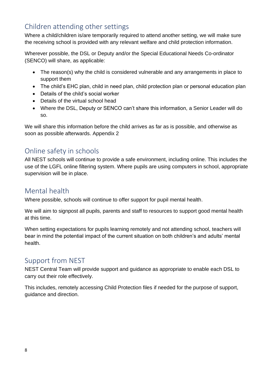### <span id="page-7-0"></span>Children attending other settings

Where a child/children is/are temporarily required to attend another setting, we will make sure the receiving school is provided with any relevant welfare and child protection information.

Wherever possible, the DSL or Deputy and/or the Special Educational Needs Co-ordinator (SENCO) will share, as applicable:

- The reason(s) why the child is considered vulnerable and any arrangements in place to support them
- The child's EHC plan, child in need plan, child protection plan or personal education plan
- Details of the child's social worker
- Details of the virtual school head
- Where the DSL, Deputy or SENCO can't share this information, a Senior Leader will do so.

We will share this information before the child arrives as far as is possible, and otherwise as soon as possible afterwards. Appendix 2

### <span id="page-7-1"></span>Online safety in schools

All NEST schools will continue to provide a safe environment, including online. This includes the use of the LGFL online filtering system. Where pupils are using computers in school, appropriate supervision will be in place.

#### <span id="page-7-2"></span>Mental health

Where possible, schools will continue to offer support for pupil mental health.

We will aim to signpost all pupils, parents and staff to resources to support good mental health at this time.

When setting expectations for pupils learning remotely and not attending school, teachers will bear in mind the potential impact of the current situation on both children's and adults' mental health.

#### <span id="page-7-3"></span>Support from NEST

NEST Central Team will provide support and guidance as appropriate to enable each DSL to carry out their role effectively.

This includes, remotely accessing Child Protection files if needed for the purpose of support, guidance and direction.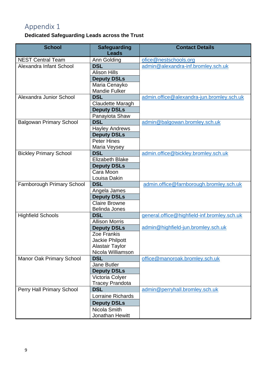## <span id="page-8-0"></span>Appendix 1

#### **Dedicated Safeguarding Leads across the Trust**

| <b>School</b>                     | <b>Safeguarding</b><br><b>Leads</b> | <b>Contact Details</b>                      |
|-----------------------------------|-------------------------------------|---------------------------------------------|
| <b>NEST Central Team</b>          | Ann Golding                         | ofice@nestschools.org                       |
| Alexandra Infant School           | <b>DSL</b>                          | admin@alexandra-inf.bromley.sch.uk          |
|                                   | <b>Alison Hills</b>                 |                                             |
|                                   | <b>Deputy DSLs</b>                  |                                             |
|                                   | Maria Cenayko                       |                                             |
|                                   | <b>Mandie Fulker</b>                |                                             |
| Alexandra Junior School           | <b>DSL</b>                          | admin.office@alexandra-jun.bromley.sch.uk   |
|                                   | Claudette Maragh                    |                                             |
|                                   | <b>Deputy DSLs</b>                  |                                             |
|                                   | Panayiota Shaw                      |                                             |
| <b>Balgowan Primary School</b>    | <b>DSL</b>                          | admin@balgowan.bromley.sch.uk               |
|                                   | <b>Hayley Andrews</b>               |                                             |
|                                   | <b>Deputy DSLs</b>                  |                                             |
|                                   | <b>Peter Hines</b>                  |                                             |
|                                   | Maria Veysey                        |                                             |
| <b>Bickley Primary School</b>     | <b>DSL</b>                          | admin.office@bickley.bromley.sch.uk         |
|                                   | <b>Elizabeth Blake</b>              |                                             |
|                                   | <b>Deputy DSLs</b>                  |                                             |
|                                   | Cara Moon                           |                                             |
|                                   | Louisa Dakin                        |                                             |
| <b>Farnborough Primary School</b> | <b>DSL</b>                          | admin.office@farnborough.bromley.sch.uk     |
|                                   | Angela James                        |                                             |
|                                   | <b>Deputy DSLs</b>                  |                                             |
|                                   | <b>Claire Browne</b>                |                                             |
|                                   | <b>Belinda Jones</b>                |                                             |
| <b>Highfield Schools</b>          | <b>DSL</b>                          | general.office@highfield-inf.bromley.sch.uk |
|                                   | <b>Allison Morris</b>               |                                             |
|                                   | <b>Deputy DSLs</b>                  | admin@highfield-jun.bromley.sch.uk          |
|                                   | Zoe Frankis                         |                                             |
|                                   | Jackie Philpott                     |                                             |
|                                   | <b>Alastair Taylor</b>              |                                             |
|                                   | Nicola Williamson                   |                                             |
| <b>Manor Oak Primary School</b>   | <b>DSL</b>                          | office@manoroak.bromley.sch.uk              |
|                                   | <b>Jane Butler</b>                  |                                             |
|                                   | <b>Deputy DSLs</b>                  |                                             |
|                                   | Victoria Colyer                     |                                             |
|                                   | <b>Tracey Prandota</b>              |                                             |
| Perry Hall Primary School         | <b>DSL</b>                          | admin@perryhall.bromley.sch.uk              |
|                                   | Lorraine Richards                   |                                             |
|                                   | <b>Deputy DSLs</b>                  |                                             |
|                                   | Nicola Smith                        |                                             |
|                                   | Jonathan Hewitt                     |                                             |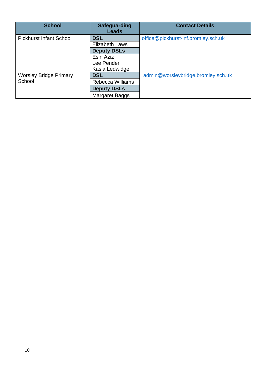| <b>School</b>                           | <b>Safeguarding</b><br><b>Leads</b> | <b>Contact Details</b>              |
|-----------------------------------------|-------------------------------------|-------------------------------------|
| <b>Pickhurst Infant School</b>          | <b>DSL</b>                          | office@pickhurst-inf.bromley.sch.uk |
|                                         | Elizabeth Laws                      |                                     |
|                                         | <b>Deputy DSLs</b>                  |                                     |
|                                         | Esin Aziz                           |                                     |
|                                         | Lee Pender                          |                                     |
|                                         | Kasia Ledwidge                      |                                     |
| <b>Worsley Bridge Primary</b><br>School | <b>DSL</b>                          | admin@worsleybridge.bromley.sch.uk  |
|                                         | <b>Rebecca Williams</b>             |                                     |
|                                         | <b>Deputy DSLs</b>                  |                                     |
|                                         | Margaret Baggs                      |                                     |